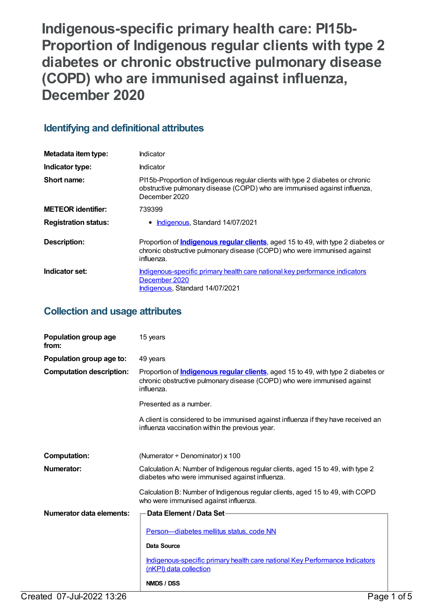**Indigenous-specific primary health care: PI15b-Proportion of Indigenous regular clients with type 2 diabetes or chronic obstructive pulmonary disease (COPD) who are immunised against influenza, December 2020**

# **Identifying and definitional attributes**

| Metadata item type:         | Indicator                                                                                                                                                                         |
|-----------------------------|-----------------------------------------------------------------------------------------------------------------------------------------------------------------------------------|
| Indicator type:             | Indicator                                                                                                                                                                         |
| Short name:                 | PI15b-Proportion of Indigenous regular clients with type 2 diabetes or chronic<br>obstructive pulmonary disease (COPD) who are immunised against influenza,<br>December 2020      |
| <b>METEOR identifier:</b>   | 739399                                                                                                                                                                            |
| <b>Registration status:</b> | • Indigenous, Standard 14/07/2021                                                                                                                                                 |
| Description:                | Proportion of <b>Indigenous regular clients</b> , aged 15 to 49, with type 2 diabetes or<br>chronic obstructive pulmonary disease (COPD) who were immunised against<br>influenza. |
| Indicator set:              | Indigenous-specific primary health care national key performance indicators<br>December 2020<br>Indigenous, Standard 14/07/2021                                                   |

## **Collection and usage attributes**

| Population group age<br>from:   | 15 years                                                                                                                                                                          |  |
|---------------------------------|-----------------------------------------------------------------------------------------------------------------------------------------------------------------------------------|--|
| Population group age to:        | 49 years                                                                                                                                                                          |  |
| <b>Computation description:</b> | Proportion of <b>Indigenous regular clients</b> , aged 15 to 49, with type 2 diabetes or<br>chronic obstructive pulmonary disease (COPD) who were immunised against<br>influenza. |  |
|                                 | Presented as a number.                                                                                                                                                            |  |
|                                 | A client is considered to be immunised against influenza if they have received an<br>influenza vaccination within the previous year.                                              |  |
|                                 |                                                                                                                                                                                   |  |
| <b>Computation:</b>             | (Numerator $\div$ Denominator) x 100                                                                                                                                              |  |
| Numerator:                      | Calculation A: Number of Indigenous regular clients, aged 15 to 49, with type 2<br>diabetes who were immunised against influenza.                                                 |  |
|                                 | Calculation B: Number of Indigenous regular clients, aged 15 to 49, with COPD<br>who were immunised against influenza.                                                            |  |
| Numerator data elements:        | Data Element / Data Set-                                                                                                                                                          |  |
|                                 | Person-diabetes mellitus status, code NN                                                                                                                                          |  |
|                                 | Data Source                                                                                                                                                                       |  |
|                                 | Indigenous-specific primary health care national Key Performance Indicators<br>(nKPI) data collection                                                                             |  |
|                                 | <b>NMDS / DSS</b>                                                                                                                                                                 |  |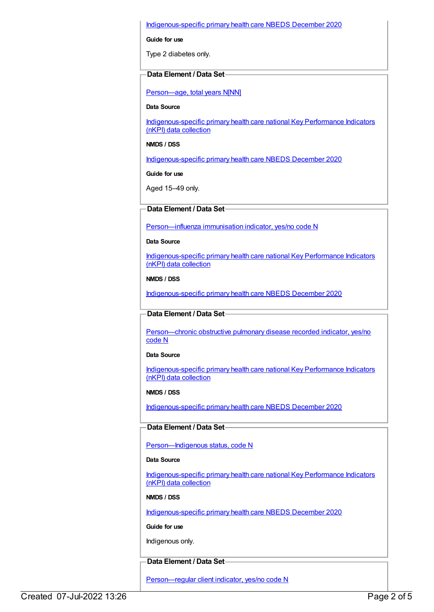#### [Indigenous-specific](https://meteor.aihw.gov.au/content/738532) primary health care NBEDS December 2020

**Guide for use**

Type 2 diabetes only.

#### **Data Element / Data Set**

[Person—age,](https://meteor.aihw.gov.au/content/303794) total years N[NN]

**Data Source**

[Indigenous-specific](https://meteor.aihw.gov.au/content/737914) primary health care national Key Performance Indicators (nKPI) data collection

**NMDS / DSS**

[Indigenous-specific](https://meteor.aihw.gov.au/content/738532) primary health care NBEDS December 2020

**Guide for use**

Aged 15–49 only.

### **Data Element / Data Set**

[Person—influenza](https://meteor.aihw.gov.au/content/457688) immunisation indicator, yes/no code N

**Data Source**

[Indigenous-specific](https://meteor.aihw.gov.au/content/737914) primary health care national Key Performance Indicators (nKPI) data collection

**NMDS / DSS**

[Indigenous-specific](https://meteor.aihw.gov.au/content/738532) primary health care NBEDS December 2020

**Data Element / Data Set**

[Person—chronic](https://meteor.aihw.gov.au/content/464928) obstructive pulmonary disease recorded indicator, yes/no code N

**Data Source**

[Indigenous-specific](https://meteor.aihw.gov.au/content/737914) primary health care national Key Performance Indicators (nKPI) data collection

**NMDS / DSS**

[Indigenous-specific](https://meteor.aihw.gov.au/content/738532) primary health care NBEDS December 2020

**Data Element / Data Set**

Person-Indigenous status, code N

#### **Data Source**

[Indigenous-specific](https://meteor.aihw.gov.au/content/737914) primary health care national Key Performance Indicators (nKPI) data collection

**NMDS / DSS**

[Indigenous-specific](https://meteor.aihw.gov.au/content/738532) primary health care NBEDS December 2020

**Guide for use**

Indigenous only.

### **Data Element / Data Set**

[Person—regular](https://meteor.aihw.gov.au/content/686291) client indicator, yes/no code N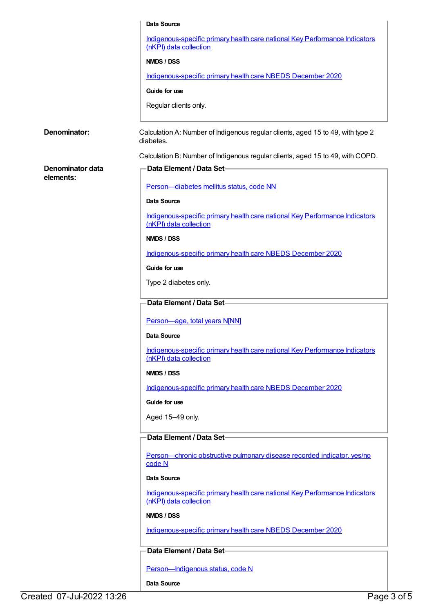|                               | Data Source                                                                                           |
|-------------------------------|-------------------------------------------------------------------------------------------------------|
|                               | Indigenous-specific primary health care national Key Performance Indicators<br>(nKPI) data collection |
|                               | NMDS / DSS                                                                                            |
|                               | Indigenous-specific primary health care NBEDS December 2020                                           |
|                               | Guide for use                                                                                         |
|                               | Regular clients only.                                                                                 |
|                               |                                                                                                       |
| Denominator:                  | Calculation A: Number of Indigenous regular clients, aged 15 to 49, with type 2<br>diabetes.          |
|                               | Calculation B: Number of Indigenous regular clients, aged 15 to 49, with COPD.                        |
| Denominator data<br>elements: | Data Element / Data Set-                                                                              |
|                               | Person-diabetes mellitus status, code NN                                                              |
|                               | <b>Data Source</b>                                                                                    |
|                               | Indigenous-specific primary health care national Key Performance Indicators<br>(nKPI) data collection |
|                               | NMDS / DSS                                                                                            |
|                               | Indigenous-specific primary health care NBEDS December 2020                                           |
|                               | Guide for use                                                                                         |
|                               | Type 2 diabetes only.                                                                                 |
|                               | Data Element / Data Set-                                                                              |
|                               | Person-age, total years N[NN]                                                                         |
|                               | Data Source                                                                                           |
|                               | Indigenous-specific primary health care national Key Performance Indicators<br>(nKPI) data collection |
|                               | NMDS / DSS                                                                                            |
|                               | Indigenous-specific primary health care NBEDS December 2020                                           |
|                               | Guide for use                                                                                         |
|                               | Aged 15-49 only.                                                                                      |
|                               | Data Element / Data Set-                                                                              |
|                               | Person-chronic obstructive pulmonary disease recorded indicator, yes/no<br>code N                     |
|                               | <b>Data Source</b>                                                                                    |
|                               | Indigenous-specific primary health care national Key Performance Indicators<br>(nKPI) data collection |
|                               | NMDS / DSS                                                                                            |
|                               | Indigenous-specific primary health care NBEDS December 2020                                           |
|                               | Data Element / Data Set-                                                                              |
|                               | Person-Indigenous status, code N                                                                      |
|                               | Data Source                                                                                           |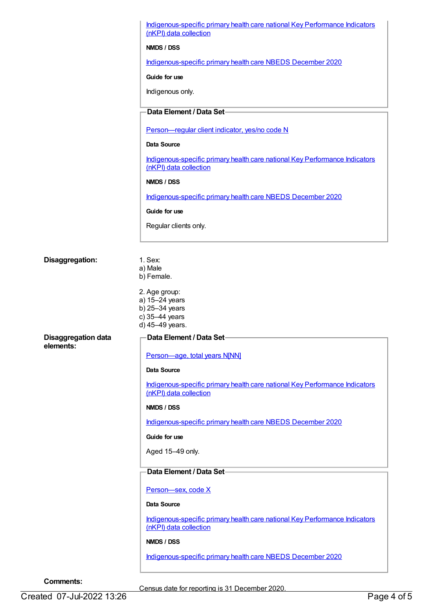|                            | Indigenous-specific primary health care national Key Performance Indicators<br>(nKPI) data collection |
|----------------------------|-------------------------------------------------------------------------------------------------------|
|                            | NMDS / DSS                                                                                            |
|                            | Indigenous-specific primary health care NBEDS December 2020                                           |
|                            | Guide for use                                                                                         |
|                            | Indigenous only.                                                                                      |
|                            | Data Element / Data Set-                                                                              |
|                            |                                                                                                       |
|                            | Person-regular client indicator, yes/no code N                                                        |
|                            | Data Source                                                                                           |
|                            | Indigenous-specific primary health care national Key Performance Indicators<br>(nKPI) data collection |
|                            | NMDS / DSS                                                                                            |
|                            | Indigenous-specific primary health care NBEDS December 2020                                           |
|                            | Guide for use                                                                                         |
|                            | Regular clients only.                                                                                 |
|                            |                                                                                                       |
| Disaggregation:            | 1. Sex:<br>a) Male<br>b) Female.                                                                      |
|                            | 2. Age group:<br>a) 15-24 years<br>b) 25-34 years<br>c) 35-44 years<br>d) 45-49 years.                |
| <b>Disaggregation data</b> | Data Element / Data Set                                                                               |
| elements:                  | Person-age, total years N[NN]                                                                         |
|                            | Data Source                                                                                           |
|                            | Indigenous-specific primary health care national Key Performance Indicators                           |
|                            | (nKPI) data collection                                                                                |
|                            | NMDS / DSS                                                                                            |
|                            | Indigenous-specific primary health care NBEDS December 2020                                           |
|                            | Guide for use                                                                                         |
|                            | Aged 15-49 only.                                                                                      |
|                            | Data Element / Data Set-                                                                              |
|                            | Person-sex, code X                                                                                    |
|                            | Data Source                                                                                           |
|                            | Indigenous-specific primary health care national Key Performance Indicators<br>(nKPI) data collection |
|                            |                                                                                                       |
|                            | NMDS / DSS                                                                                            |
|                            | Indigenous-specific primary health care NBEDS December 2020                                           |

**Comments:**

Census date for reporting is 31 December 2020.